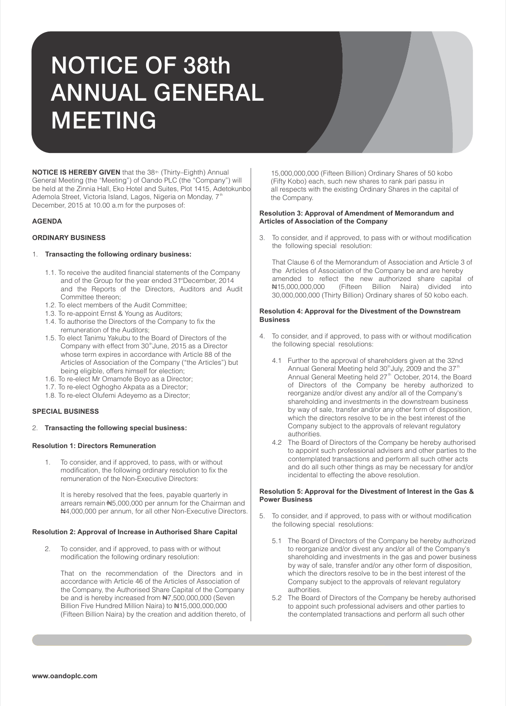# NOTICE OF 38th ANNUAL GENERAL MEETING

**NOTICE IS HEREBY GIVEN** that the 38<sup>th</sup> (Thirty–Eighth) Annual General Meeting (the "Meeting") of Oando PLC (the "Company") will be held at the Zinnia Hall, Eko Hotel and Suites, Plot 1415, Adetokunbo Ademola Street, Victoria Island, Lagos, Nigeria on Monday,  $7<sup>th</sup>$ December, 2015 at 10.00 a.m for the purposes of:

# **AGENDA**

# **ORDINARY BUSINESS**

# 1. **Transacting the following ordinary business:**

- 1.1. To receive the audited financial statements of the Company and of the Group for the year ended 31<sup>st</sup> December, 2014 and the Reports of the Directors, Auditors and Audit Committee thereon;
- 1.2. To elect members of the Audit Committee;
- 1.3. To re-appoint Ernst & Young as Auditors;
- 1.4. To authorise the Directors of the Company to fix the remuneration of the Auditors;
- 1.5. To elect Tanimu Yakubu to the Board of Directors of the Company with effect from 30<sup>th</sup> June, 2015 as a Director whose term expires in accordance with Article 88 of the Articles of Association of the Company ("the Articles") but being eligible, offers himself for election;
- 1.6. To re-elect Mr Omamofe Boyo as a Director;
- 1.7. To re-elect Oghogho Akpata as a Director;
- 1.8. To re-elect Olufemi Adeyemo as a Director;

# **SPECIAL BUSINESS**

# 2. **Transacting the following special business:**

# **Resolution 1: Directors Remuneration**

1. To consider, and if approved, to pass, with or without modification, the following ordinary resolution to fix the remuneration of the Non-Executive Directors:

It is hereby resolved that the fees, payable quarterly in arrears remain N5,000,000 per annum for the Chairman and N4,000,000 per annum, for all other Non-Executive Directors.

## **Resolution 2: Approval of Increase in Authorised Share Capital**

2. To consider, and if approved, to pass with or without modification the following ordinary resolution:

That on the recommendation of the Directors and in accordance with Article 46 of the Articles of Association of the Company, the Authorised Share Capital of the Company be and is hereby increased from #7,500,000,000 (Seven Billion Five Hundred Million Naira) to #15,000,000,000 (Fifteen Billion Naira) by the creation and addition thereto, of

15,000,000,000 (Fifteen Billion) Ordinary Shares of 50 kobo (Fifty Kobo) each, such new shares to rank pari passu in all respects with the existing Ordinary Shares in the capital of the Company.

## **Resolution 3: Approval of Amendment of Memorandum and Articles of Association of the Company**

3. To consider, and if approved, to pass with or without modification the following special resolution:

That Clause 6 of the Memorandum of Association and Article 3 of the Articles of Association of the Company be and are hereby amended to reflect the new authorized share capital of N15,000,000,000 (Fifteen Billion Naira) divided into 30,000,000,000 (Thirty Billion) Ordinary shares of 50 kobo each.

# **Resolution 4: Approval for the Divestment of the Downstream Business**

- 4. To consider, and if approved, to pass with or without modification the following special resolutions:
	- 4.1 Further to the approval of shareholders given at the 32nd Annual General Meeting held  $30<sup>th</sup>$ July, 2009 and the  $37<sup>th</sup>$ Annual General Meeting held 27<sup>th</sup> October, 2014, the Board of Directors of the Company be hereby authorized to reorganize and/or divest any and/or all of the Company's shareholding and investments in the downstream business by way of sale, transfer and/or any other form of disposition, which the directors resolve to be in the best interest of the Company subject to the approvals of relevant regulatory authorities.
	- 4.2 The Board of Directors of the Company be hereby authorised to appoint such professional advisers and other parties to the contemplated transactions and perform all such other acts and do all such other things as may be necessary for and/or incidental to effecting the above resolution.

# **Resolution 5: Approval for the Divestment of Interest in the Gas & Power Business**

- 5. To consider, and if approved, to pass with or without modification the following special resolutions:
	- 5.1 The Board of Directors of the Company be hereby authorized to reorganize and/or divest any and/or all of the Company's shareholding and investments in the gas and power business by way of sale, transfer and/or any other form of disposition, which the directors resolve to be in the best interest of the Company subject to the approvals of relevant regulatory authorities.
	- 5.2 The Board of Directors of the Company be hereby authorised to appoint such professional advisers and other parties to the contemplated transactions and perform all such other